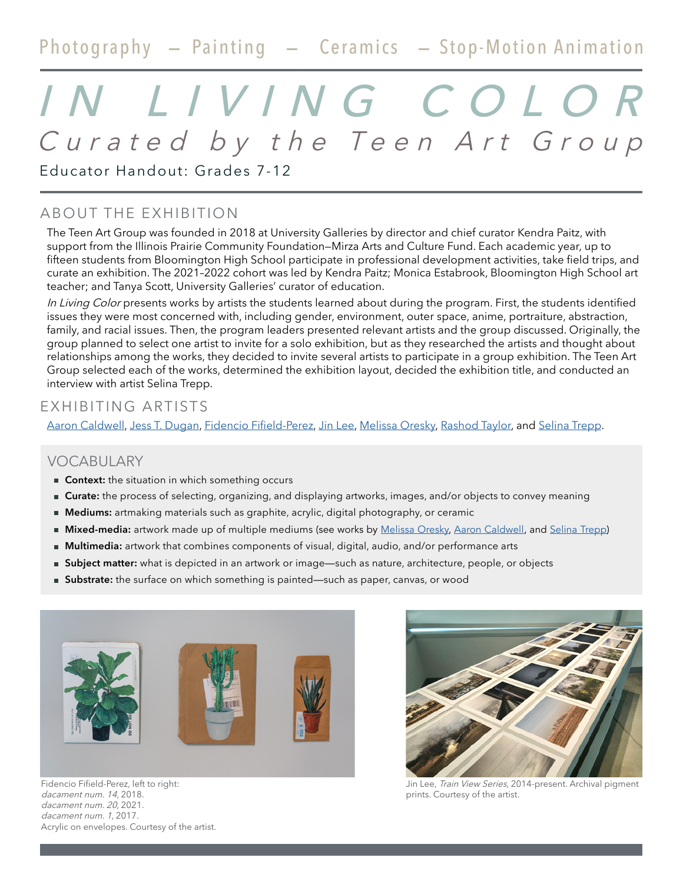# Photography - Painting - Ceramics - Stop-Motion Animation

# Curated by the Teen Art Group IN LIVING COLOR

Educator Handout: Grades 7-12

# ABOUT THE EXHIBITION

The Teen Art Group was founded in 2018 at University Galleries by director and chief curator Kendra Paitz, with support from the Illinois Prairie Community Foundation—Mirza Arts and Culture Fund. Each academic year, up to fifteen students from Bloomington High School participate in professional development activities, take field trips, and curate an exhibition. The 2021–2022 cohort was led by Kendra Paitz; Monica Estabrook, Bloomington High School art teacher; and Tanya Scott, University Galleries' curator of education.

In Living Color presents works by artists the students learned about during the program. First, the students identified issues they were most concerned with, including gender, environment, outer space, anime, portraiture, abstraction, family, and racial issues. Then, the program leaders presented relevant artists and the group discussed. Originally, the group planned to select one artist to invite for a solo exhibition, but as they researched the artists and thought about relationships among the works, they decided to invite several artists to participate in a group exhibition. The Teen Art Group selected each of the works, determined the exhibition layout, decided the exhibition title, and conducted an interview with artist Selina Trepp.

## EXHIBITING ARTISTS

[Aaron Caldwell,](https://ceramicsnstuff.com/home.html) [Jess T. Dugan](http://www.jessdugan.com), [Fidencio Fifield-Perez](http://fidenciofperez.com/), [Jin Lee,](https://jinleephotography.net/) [Melissa Oresky](http://www.melissaoresky.com/), [Rashod Taylor](https://www.rashodtaylor.com/), and [Selina Trepp](https://selinatrepp.info/home.html).

#### VOCABULARY

- **Context:** the situation in which something occurs
- **Curate:** the process of selecting, organizing, and displaying artworks, images, and/or objects to convey meaning
- **Mediums:** artmaking materials such as graphite, acrylic, digital photography, or ceramic
- **Mixed-media:** artwork made up of multiple mediums (see works by [Melissa Oresky](https://www.flickr.com/photos/52024644@N05/52084850109/in/album-72177720299084922/), [Aaron Caldwell,](https://www.flickr.com/photos/52024644@N05/52085104630/in/album-72177720299084922/) and [Selina Trepp](https://www.flickr.com/photos/52024644@N05/52085103780/in/album-72177720299084922/))
- **Multimedia:** artwork that combines components of visual, digital, audio, and/or performance arts
- **Subject matter:** what is depicted in an artwork or image—such as nature, architecture, people, or objects
- **Substrate:** the surface on which something is painted—such as paper, canvas, or wood



Fidencio Fifield-Perez, left to right: dacament num. 14, 2018. dacament num. 20, 2021. dacament num. 1, 2017. Acrylic on envelopes. Courtesy of the artist.

Jin Lee, Train View Series, 2014-present. Archival pigment prints. Courtesy of the artist.